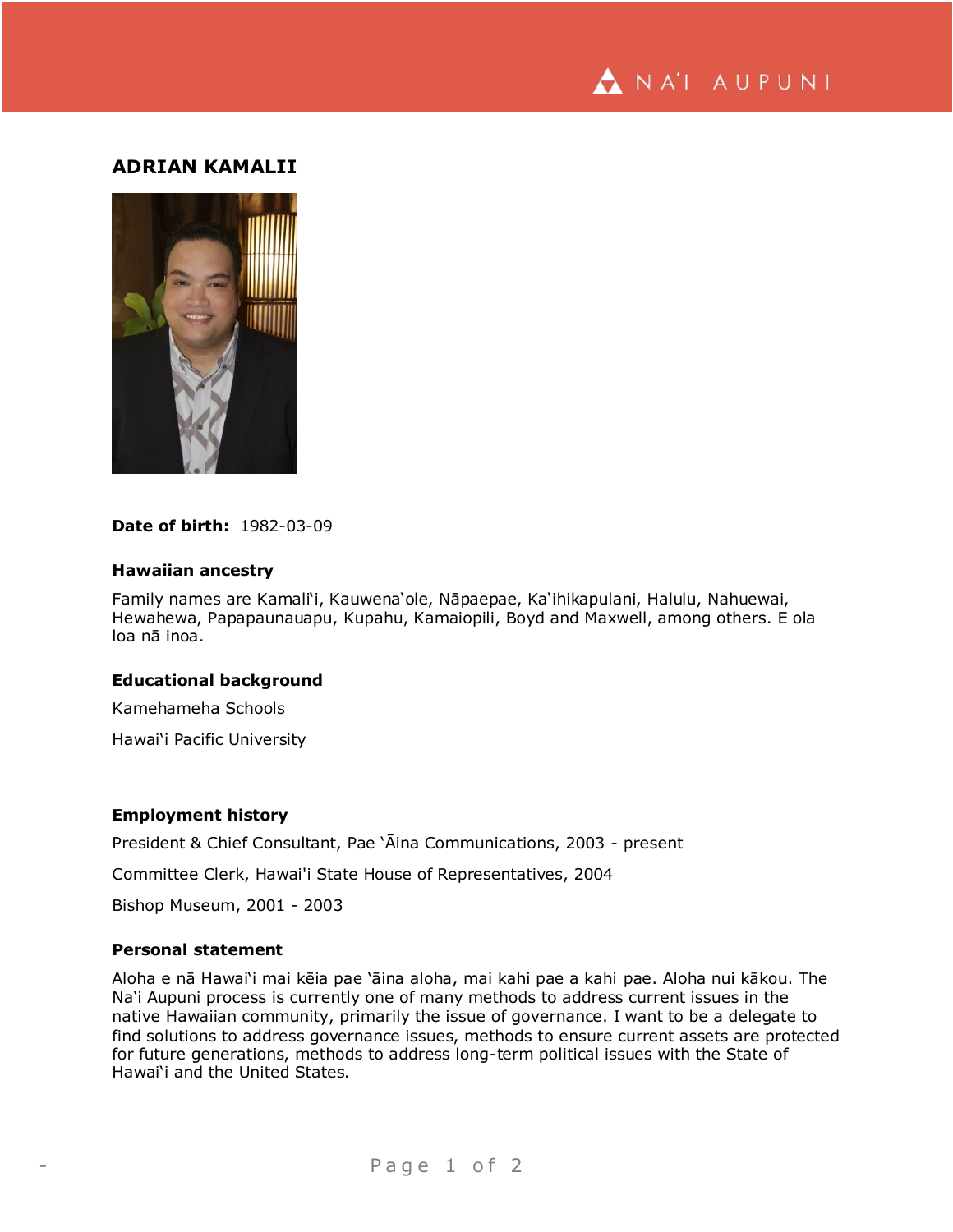

# **ADRIAN KAMALII**



## **Date of birth:** 1982-03-09

#### **Hawaiian ancestry**

Family names are Kamali'i, Kauwena'ole, Nāpaepae, Ka'ihikapulani, Halulu, Nahuewai, Hewahewa, Papapaunauapu, Kupahu, Kamaiopili, Boyd and Maxwell, among others. E ola loa nā inoa.

## **Educational background**

Kamehameha Schools

Hawai'i Pacific University

# **Employment history**

President & Chief Consultant, Pae 'Āina Communications, 2003 - present

Committee Clerk, Hawai'i State House of Representatives, 2004

Bishop Museum, 2001 - 2003

## **Personal statement**

Aloha e nā Hawai'i mai kēia pae 'āina aloha, mai kahi pae a kahi pae. Aloha nui kākou. The Na'i Aupuni process is currently one of many methods to address current issues in the native Hawaiian community, primarily the issue of governance. I want to be a delegate to find solutions to address governance issues, methods to ensure current assets are protected for future generations, methods to address long-term political issues with the State of Hawai'i and the United States.